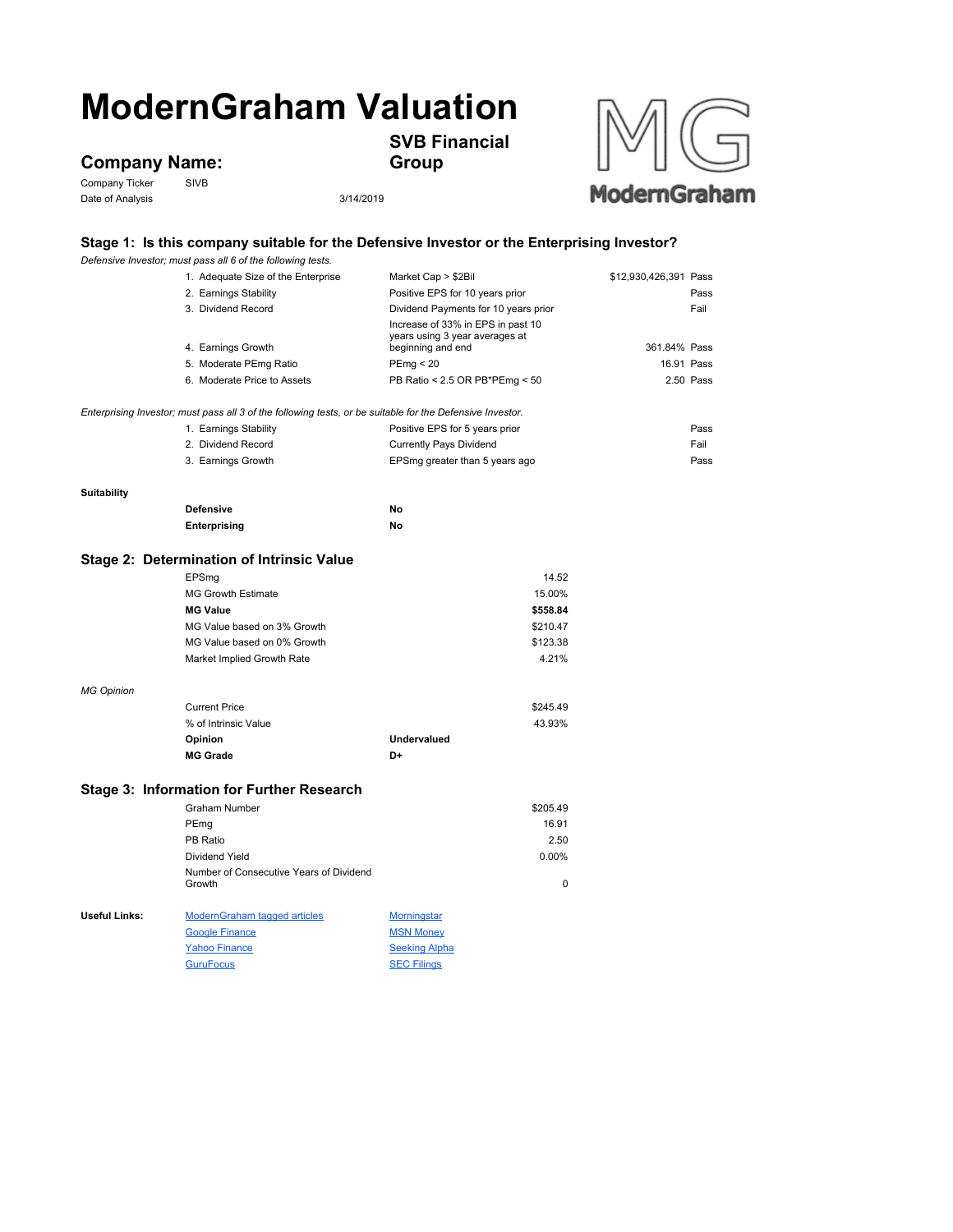## **ModernGraham Valuation**

**Company Name:**<br>Company Ticker SIVB

Company Ticker Date of Analysis 3/14/2019

**SVB Financial** 

**Group**



## **Stage 1: Is this company suitable for the Defensive Investor or the Enterprising Investor?**

|                    | Defensive Investor; must pass all 6 of the following tests.                                               |                                                                                          |                       |      |
|--------------------|-----------------------------------------------------------------------------------------------------------|------------------------------------------------------------------------------------------|-----------------------|------|
|                    | 1. Adequate Size of the Enterprise                                                                        | Market Cap > \$2Bil                                                                      | \$12,930,426,391 Pass |      |
|                    | 2. Earnings Stability                                                                                     | Positive EPS for 10 years prior                                                          |                       | Pass |
|                    | 3. Dividend Record                                                                                        | Dividend Payments for 10 years prior                                                     |                       | Fail |
|                    | 4. Earnings Growth                                                                                        | Increase of 33% in EPS in past 10<br>years using 3 year averages at<br>beginning and end | 361.84% Pass          |      |
|                    | 5. Moderate PEmg Ratio                                                                                    | PEmp < 20                                                                                | 16.91 Pass            |      |
|                    | 6. Moderate Price to Assets                                                                               | PB Ratio < 2.5 OR PB*PEmg < 50                                                           | 2.50 Pass             |      |
|                    |                                                                                                           |                                                                                          |                       |      |
|                    | Enterprising Investor; must pass all 3 of the following tests, or be suitable for the Defensive Investor. |                                                                                          |                       |      |
|                    | 1. Earnings Stability                                                                                     | Positive EPS for 5 years prior                                                           |                       | Pass |
|                    | 2. Dividend Record                                                                                        | <b>Currently Pays Dividend</b>                                                           |                       | Fail |
|                    | 3. Earnings Growth                                                                                        | EPSmg greater than 5 years ago                                                           |                       | Pass |
| <b>Suitability</b> |                                                                                                           |                                                                                          |                       |      |
|                    | <b>Defensive</b>                                                                                          | No                                                                                       |                       |      |
|                    | Enterprising                                                                                              | No                                                                                       |                       |      |
|                    |                                                                                                           |                                                                                          |                       |      |
|                    | Stage 2: Determination of Intrinsic Value                                                                 |                                                                                          |                       |      |
|                    | EPSmg                                                                                                     | 14.52                                                                                    |                       |      |
|                    | <b>MG Growth Estimate</b>                                                                                 | 15.00%                                                                                   |                       |      |
|                    | <b>MG Value</b>                                                                                           | \$558.84                                                                                 |                       |      |
|                    | MG Value based on 3% Growth                                                                               | \$210.47                                                                                 |                       |      |
|                    | MG Value based on 0% Growth                                                                               | \$123.38                                                                                 |                       |      |
|                    | Market Implied Growth Rate                                                                                | 4.21%                                                                                    |                       |      |
| <b>MG Opinion</b>  |                                                                                                           |                                                                                          |                       |      |
|                    | <b>Current Price</b>                                                                                      | \$245.49                                                                                 |                       |      |
|                    | % of Intrinsic Value                                                                                      | 43.93%                                                                                   |                       |      |
|                    | Opinion                                                                                                   | <b>Undervalued</b>                                                                       |                       |      |
|                    | <b>MG Grade</b>                                                                                           | D+                                                                                       |                       |      |
|                    | Stage 3: Information for Further Research                                                                 |                                                                                          |                       |      |
|                    | <b>Graham Number</b>                                                                                      |                                                                                          |                       |      |
|                    |                                                                                                           | \$205.49                                                                                 |                       |      |
|                    | PEmg                                                                                                      | 16.91                                                                                    |                       |      |
|                    | PB Ratio                                                                                                  | 2.50                                                                                     |                       |      |
|                    | Dividend Yield                                                                                            | 0.00%                                                                                    |                       |      |
|                    | Number of Consecutive Years of Dividend<br>Growth                                                         | 0                                                                                        |                       |      |
| Useful Links:      | <b>ModernGraham tagged articles</b>                                                                       | <b>Morningstar</b>                                                                       |                       |      |
|                    | <b>Google Finance</b>                                                                                     | <b>MSN Money</b>                                                                         |                       |      |
|                    | <b>Yahoo Finance</b>                                                                                      | <b>Seeking Alpha</b>                                                                     |                       |      |
|                    | <b>GuruFocus</b>                                                                                          | <b>SEC Filings</b>                                                                       |                       |      |
|                    |                                                                                                           |                                                                                          |                       |      |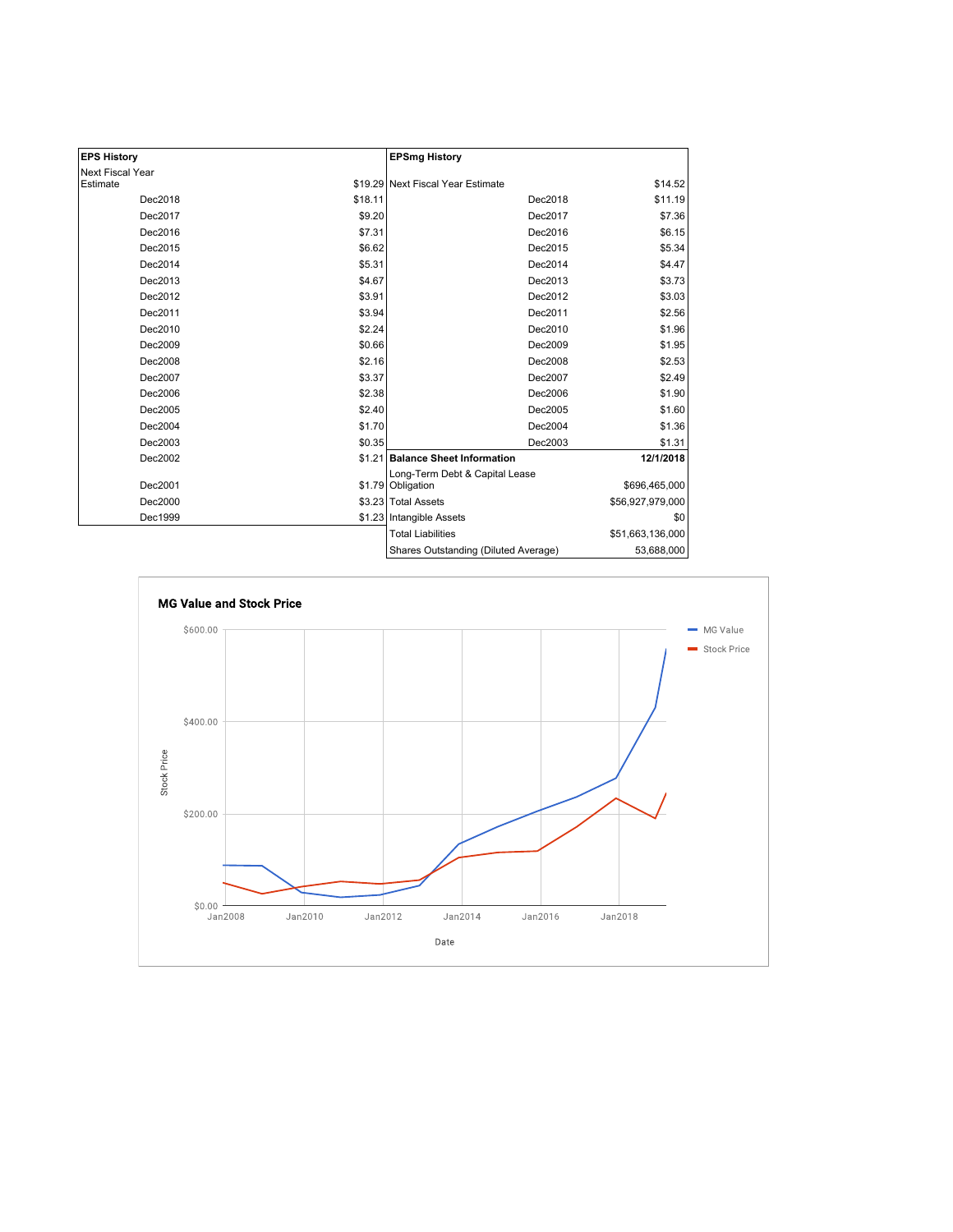| <b>EPS History</b> |         | <b>EPSmg History</b>                                |                  |
|--------------------|---------|-----------------------------------------------------|------------------|
| Next Fiscal Year   |         |                                                     |                  |
| Estimate           |         | \$19.29 Next Fiscal Year Estimate                   | \$14.52          |
| Dec2018            | \$18.11 | Dec2018                                             | \$11.19          |
| Dec2017            | \$9.20  | Dec2017                                             | \$7.36           |
| Dec2016            | \$7.31  | Dec2016                                             | \$6.15           |
| Dec2015            | \$6.62  | Dec2015                                             | \$5.34           |
| Dec2014            | \$5.31  | Dec2014                                             | \$4.47           |
| Dec2013            | \$4.67  | Dec2013                                             | \$3.73           |
| Dec2012            | \$3.91  | Dec2012                                             | \$3.03           |
| Dec2011            | \$3.94  | Dec2011                                             | \$2.56           |
| Dec2010            | \$2.24  | Dec2010                                             | \$1.96           |
| Dec2009            | \$0.66  | Dec2009                                             | \$1.95           |
| Dec2008            | \$2.16  | Dec2008                                             | \$2.53           |
| Dec2007            | \$3.37  | Dec2007                                             | \$2.49           |
| Dec2006            | \$2.38  | Dec2006                                             | \$1.90           |
| Dec2005            | \$2.40  | Dec2005                                             | \$1.60           |
| Dec2004            | \$1.70  | Dec2004                                             | \$1.36           |
| Dec2003            | \$0.35  | Dec2003                                             | \$1.31           |
| Dec2002            |         | \$1.21 Balance Sheet Information                    | 12/1/2018        |
| Dec2001            |         | Long-Term Debt & Capital Lease<br>\$1.79 Obligation | \$696,465,000    |
| Dec2000            |         | \$3.23 Total Assets                                 | \$56,927,979,000 |
| Dec1999            |         | \$1.23 Intangible Assets                            | \$0              |
|                    |         | <b>Total Liabilities</b>                            | \$51,663,136,000 |
|                    |         | Shares Outstanding (Diluted Average)                | 53,688,000       |